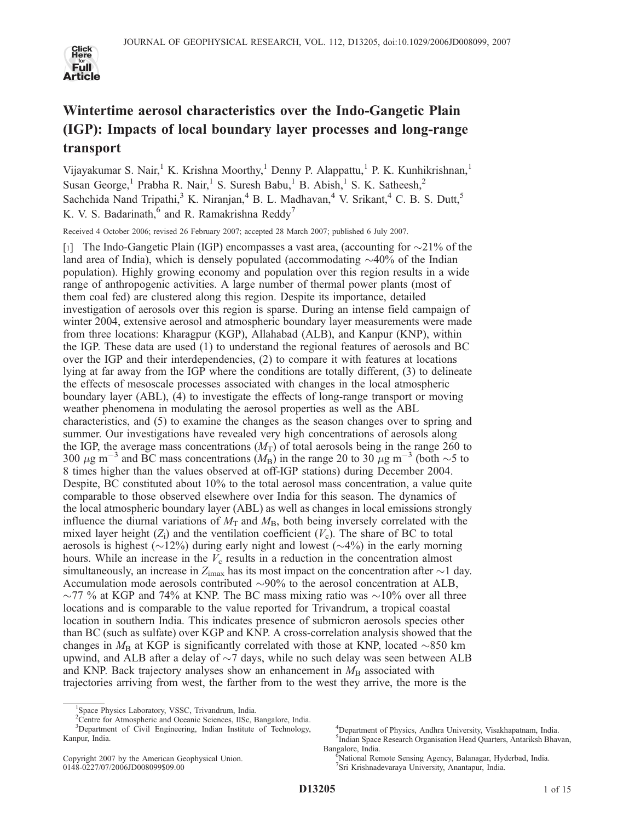

# Wintertime aerosol characteristics over the Indo-Gangetic Plain (IGP): Impacts of local boundary layer processes and long-range transport

Vijayakumar S. Nair,<sup>1</sup> K. Krishna Moorthy,<sup>1</sup> Denny P. Alappattu,<sup>1</sup> P. K. Kunhikrishnan,<sup>1</sup> Susan George,<sup>1</sup> Prabha R. Nair,<sup>1</sup> S. Suresh Babu,<sup>1</sup> B. Abish,<sup>1</sup> S. K. Satheesh,<sup>2</sup> Sachchida Nand Tripathi, $^3$  K. Niranjan, $^4$  B. L. Madhavan, $^4$  V. Srikant, $^4$  C. B. S. Dutt, $^5$ K. V. S. Badarinath, $6$  and R. Ramakrishna Reddy<sup>7</sup>

Received 4 October 2006; revised 26 February 2007; accepted 28 March 2007; published 6 July 2007.

[1] The Indo-Gangetic Plain (IGP) encompasses a vast area, (accounting for  $\sim$ 21% of the land area of India), which is densely populated (accommodating  $\sim$ 40% of the Indian population). Highly growing economy and population over this region results in a wide range of anthropogenic activities. A large number of thermal power plants (most of them coal fed) are clustered along this region. Despite its importance, detailed investigation of aerosols over this region is sparse. During an intense field campaign of winter 2004, extensive aerosol and atmospheric boundary layer measurements were made from three locations: Kharagpur (KGP), Allahabad (ALB), and Kanpur (KNP), within the IGP. These data are used (1) to understand the regional features of aerosols and BC over the IGP and their interdependencies, (2) to compare it with features at locations lying at far away from the IGP where the conditions are totally different, (3) to delineate the effects of mesoscale processes associated with changes in the local atmospheric boundary layer (ABL), (4) to investigate the effects of long-range transport or moving weather phenomena in modulating the aerosol properties as well as the ABL characteristics, and (5) to examine the changes as the season changes over to spring and summer. Our investigations have revealed very high concentrations of aerosols along the IGP, the average mass concentrations  $(M_T)$  of total aerosols being in the range 260 to 300  $\mu$ g m<sup>-3</sup> and BC mass concentrations ( $M_B$ ) in the range 20 to 30  $\mu$ g m<sup>-3</sup> (both  $\sim$ 5 to 8 times higher than the values observed at off-IGP stations) during December 2004. Despite, BC constituted about 10% to the total aerosol mass concentration, a value quite comparable to those observed elsewhere over India for this season. The dynamics of the local atmospheric boundary layer (ABL) as well as changes in local emissions strongly influence the diurnal variations of  $M_T$  and  $M_B$ , both being inversely correlated with the mixed layer height  $(Z_i)$  and the ventilation coefficient  $(V_c)$ . The share of BC to total aerosols is highest ( $\sim$ 12%) during early night and lowest ( $\sim$ 4%) in the early morning hours. While an increase in the  $V_c$  results in a reduction in the concentration almost simultaneously, an increase in  $Z_{\text{imax}}$  has its most impact on the concentration after  $\sim$ 1 day. Accumulation mode aerosols contributed  $\sim$ 90% to the aerosol concentration at ALB,  $\sim$ 77 % at KGP and 74% at KNP. The BC mass mixing ratio was  $\sim$ 10% over all three locations and is comparable to the value reported for Trivandrum, a tropical coastal location in southern India. This indicates presence of submicron aerosols species other than BC (such as sulfate) over KGP and KNP. A cross-correlation analysis showed that the changes in  $M_B$  at KGP is significantly correlated with those at KNP, located  $\sim$ 850 km upwind, and ALB after a delay of  $\sim$ 7 days, while no such delay was seen between ALB and KNP. Back trajectory analyses show an enhancement in  $M<sub>B</sub>$  associated with trajectories arriving from west, the farther from to the west they arrive, the more is the

<sup>&</sup>lt;sup>1</sup>Space Physics Laboratory, VSSC, Trivandrum, India.

<sup>&</sup>lt;sup>2</sup>Centre for Atmospheric and Oceanic Sciences, IISc, Bangalore, India. <sup>3</sup>Department of Civil Engineering, Indian Institute of Technology, Kanpur, India.

Copyright 2007 by the American Geophysical Union. 0148-0227/07/2006JD008099\$09.00

<sup>4</sup> Department of Physics, Andhra University, Visakhapatnam, India. 5 Indian Space Research Organisation Head Quarters, Antariksh Bhavan, Bangalore, India. <sup>6</sup>

National Remote Sensing Agency, Balanagar, Hyderbad, India. 7 Sri Krishnadevaraya University, Anantapur, India.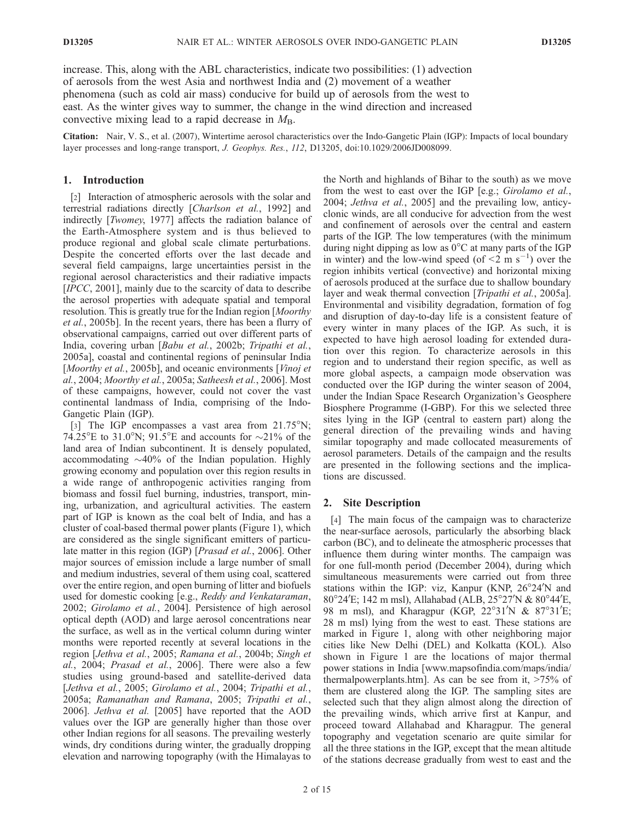increase. This, along with the ABL characteristics, indicate two possibilities: (1) advection of aerosols from the west Asia and northwest India and (2) movement of a weather phenomena (such as cold air mass) conducive for build up of aerosols from the west to east. As the winter gives way to summer, the change in the wind direction and increased convective mixing lead to a rapid decrease in  $M_{\rm B}$ .

Citation: Nair, V. S., et al. (2007), Wintertime aerosol characteristics over the Indo-Gangetic Plain (IGP): Impacts of local boundary layer processes and long-range transport, J. Geophys. Res., 112, D13205, doi:10.1029/2006JD008099.

## 1. Introduction

[2] Interaction of atmospheric aerosols with the solar and terrestrial radiations directly [Charlson et al., 1992] and indirectly [Twomey, 1977] affects the radiation balance of the Earth-Atmosphere system and is thus believed to produce regional and global scale climate perturbations. Despite the concerted efforts over the last decade and several field campaigns, large uncertainties persist in the regional aerosol characteristics and their radiative impacts [*IPCC*, 2001], mainly due to the scarcity of data to describe the aerosol properties with adequate spatial and temporal resolution. This is greatly true for the Indian region Moorthy et al., 2005b]. In the recent years, there has been a flurry of observational campaigns, carried out over different parts of India, covering urban [Babu et al., 2002b; Tripathi et al., 2005a], coastal and continental regions of peninsular India [*Moorthy et al.*, 2005b], and oceanic environments [*Vinoj et*] al., 2004; Moorthy et al., 2005a; Satheesh et al., 2006]. Most of these campaigns, however, could not cover the vast continental landmass of India, comprising of the Indo-Gangetic Plain (IGP).

[3] The IGP encompasses a vast area from  $21.75^{\circ}$ N; 74.25°E to 31.0°N; 91.5°E and accounts for  $\sim$ 21% of the land area of Indian subcontinent. It is densely populated, accommodating  $\sim$ 40% of the Indian population. Highly growing economy and population over this region results in a wide range of anthropogenic activities ranging from biomass and fossil fuel burning, industries, transport, mining, urbanization, and agricultural activities. The eastern part of IGP is known as the coal belt of India, and has a cluster of coal-based thermal power plants (Figure 1), which are considered as the single significant emitters of particulate matter in this region (IGP) [Prasad et al., 2006]. Other major sources of emission include a large number of small and medium industries, several of them using coal, scattered over the entire region, and open burning of litter and biofuels used for domestic cooking [e.g., Reddy and Venkataraman, 2002; Girolamo et al., 2004]. Persistence of high aerosol optical depth (AOD) and large aerosol concentrations near the surface, as well as in the vertical column during winter months were reported recently at several locations in the region [Jethva et al., 2005; Ramana et al., 2004b; Singh et al., 2004; Prasad et al., 2006]. There were also a few studies using ground-based and satellite-derived data [Jethva et al., 2005; Girolamo et al., 2004; Tripathi et al., 2005a; Ramanathan and Ramana, 2005; Tripathi et al., 2006]. Jethva et al. [2005] have reported that the AOD values over the IGP are generally higher than those over other Indian regions for all seasons. The prevailing westerly winds, dry conditions during winter, the gradually dropping elevation and narrowing topography (with the Himalayas to

the North and highlands of Bihar to the south) as we move from the west to east over the IGP [e.g.; Girolamo et al., 2004; *Jethva et al.*, 2005] and the prevailing low, anticyclonic winds, are all conducive for advection from the west and confinement of aerosols over the central and eastern parts of the IGP. The low temperatures (with the minimum during night dipping as low as  $0^{\circ}$ C at many parts of the IGP in winter) and the low-wind speed (of  $\leq 2 \text{ m s}^{-1}$ ) over the region inhibits vertical (convective) and horizontal mixing of aerosols produced at the surface due to shallow boundary layer and weak thermal convection [*Tripathi et al.*, 2005a]. Environmental and visibility degradation, formation of fog and disruption of day-to-day life is a consistent feature of every winter in many places of the IGP. As such, it is expected to have high aerosol loading for extended duration over this region. To characterize aerosols in this region and to understand their region specific, as well as more global aspects, a campaign mode observation was conducted over the IGP during the winter season of 2004, under the Indian Space Research Organization's Geosphere Biosphere Programme (I-GBP). For this we selected three sites lying in the IGP (central to eastern part) along the general direction of the prevailing winds and having similar topography and made collocated measurements of aerosol parameters. Details of the campaign and the results are presented in the following sections and the implications are discussed.

# 2. Site Description

[4] The main focus of the campaign was to characterize the near-surface aerosols, particularly the absorbing black carbon (BC), and to delineate the atmospheric processes that influence them during winter months. The campaign was for one full-month period (December 2004), during which simultaneous measurements were carried out from three stations within the IGP: viz, Kanpur (KNP, 26°24'N and 80°24'E; 142 m msl), Allahabad (ALB, 25°27'N & 80°44'E, 98 m msl), and Kharagpur (KGP, 22°31'N & 87°31'E; 28 m msl) lying from the west to east. These stations are marked in Figure 1, along with other neighboring major cities like New Delhi (DEL) and Kolkatta (KOL). Also shown in Figure 1 are the locations of major thermal power stations in India [www.mapsofindia.com/maps/india/ thermalpowerplants.htm]. As can be see from it, >75% of them are clustered along the IGP. The sampling sites are selected such that they align almost along the direction of the prevailing winds, which arrive first at Kanpur, and proceed toward Allahabad and Kharagpur. The general topography and vegetation scenario are quite similar for all the three stations in the IGP, except that the mean altitude of the stations decrease gradually from west to east and the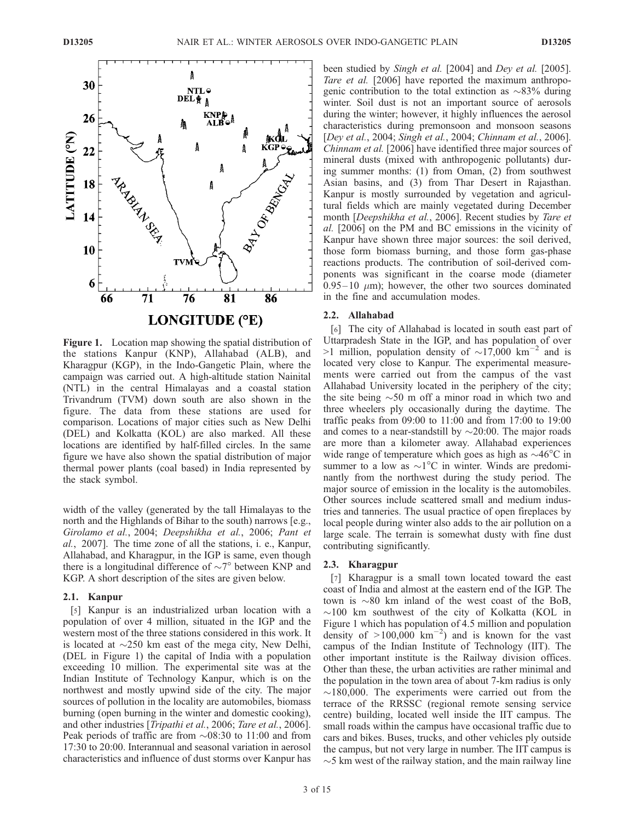

Figure 1. Location map showing the spatial distribution of the stations Kanpur (KNP), Allahabad (ALB), and Kharagpur (KGP), in the Indo-Gangetic Plain, where the campaign was carried out. A high-altitude station Nainital (NTL) in the central Himalayas and a coastal station Trivandrum (TVM) down south are also shown in the figure. The data from these stations are used for comparison. Locations of major cities such as New Delhi (DEL) and Kolkatta (KOL) are also marked. All these locations are identified by half-filled circles. In the same figure we have also shown the spatial distribution of major thermal power plants (coal based) in India represented by the stack symbol.

width of the valley (generated by the tall Himalayas to the north and the Highlands of Bihar to the south) narrows [e.g., Girolamo et al., 2004; Deepshikha et al., 2006; Pant et al., 2007]. The time zone of all the stations, i. e., Kanpur, Allahabad, and Kharagpur, in the IGP is same, even though there is a longitudinal difference of  $\sim 7^{\circ}$  between KNP and KGP. A short description of the sites are given below.

#### 2.1. Kanpur

[5] Kanpur is an industrialized urban location with a population of over 4 million, situated in the IGP and the western most of the three stations considered in this work. It is located at  $\sim$ 250 km east of the mega city, New Delhi, (DEL in Figure 1) the capital of India with a population exceeding 10 million. The experimental site was at the Indian Institute of Technology Kanpur, which is on the northwest and mostly upwind side of the city. The major sources of pollution in the locality are automobiles, biomass burning (open burning in the winter and domestic cooking), and other industries [Tripathi et al., 2006; Tare et al., 2006]. Peak periods of traffic are from  $\sim 08:30$  to 11:00 and from 17:30 to 20:00. Interannual and seasonal variation in aerosol characteristics and influence of dust storms over Kanpur has

been studied by Singh et al. [2004] and Dey et al. [2005]. Tare et al. [2006] have reported the maximum anthropogenic contribution to the total extinction as  $\sim$ 83% during winter. Soil dust is not an important source of aerosols during the winter; however, it highly influences the aerosol characteristics during premonsoon and monsoon seasons [Dey et al., 2004; Singh et al., 2004; Chinnam et al., 2006]. Chinnam et al. [2006] have identified three major sources of mineral dusts (mixed with anthropogenic pollutants) during summer months: (1) from Oman, (2) from southwest Asian basins, and (3) from Thar Desert in Rajasthan. Kanpur is mostly surrounded by vegetation and agricultural fields which are mainly vegetated during December month [Deepshikha et al., 2006]. Recent studies by Tare et al. [2006] on the PM and BC emissions in the vicinity of Kanpur have shown three major sources: the soil derived, those form biomass burning, and those form gas-phase reactions products. The contribution of soil-derived components was significant in the coarse mode (diameter 0.95–10  $\mu$ m); however, the other two sources dominated in the fine and accumulation modes.

## 2.2. Allahabad

[6] The city of Allahabad is located in south east part of Uttarpradesh State in the IGP, and has population of over >1 million, population density of  $\sim$ 17,000 km<sup>-2</sup> and is located very close to Kanpur. The experimental measurements were carried out from the campus of the vast Allahabad University located in the periphery of the city; the site being  $\sim 50$  m off a minor road in which two and three wheelers ply occasionally during the daytime. The traffic peaks from 09:00 to 11:00 and from 17:00 to 19:00 and comes to a near-standstill by  $\sim$ 20:00. The major roads are more than a kilometer away. Allahabad experiences wide range of temperature which goes as high as  $\sim 46^{\circ}$ C in summer to a low as  $\sim$ 1°C in winter. Winds are predominantly from the northwest during the study period. The major source of emission in the locality is the automobiles. Other sources include scattered small and medium industries and tanneries. The usual practice of open fireplaces by local people during winter also adds to the air pollution on a large scale. The terrain is somewhat dusty with fine dust contributing significantly.

## 2.3. Kharagpur

[7] Kharagpur is a small town located toward the east coast of India and almost at the eastern end of the IGP. The town is  $\sim 80$  km inland of the west coast of the BoB,  $\sim$ 100 km southwest of the city of Kolkatta (KOL in Figure 1 which has population of 4.5 million and population density of  $> 100,000$  km<sup>-2</sup>) and is known for the vast campus of the Indian Institute of Technology (IIT). The other important institute is the Railway division offices. Other than these, the urban activities are rather minimal and the population in the town area of about 7-km radius is only  $\sim$ 180,000. The experiments were carried out from the terrace of the RRSSC (regional remote sensing service centre) building, located well inside the IIT campus. The small roads within the campus have occasional traffic due to cars and bikes. Buses, trucks, and other vehicles ply outside the campus, but not very large in number. The IIT campus is  $\sim$ 5 km west of the railway station, and the main railway line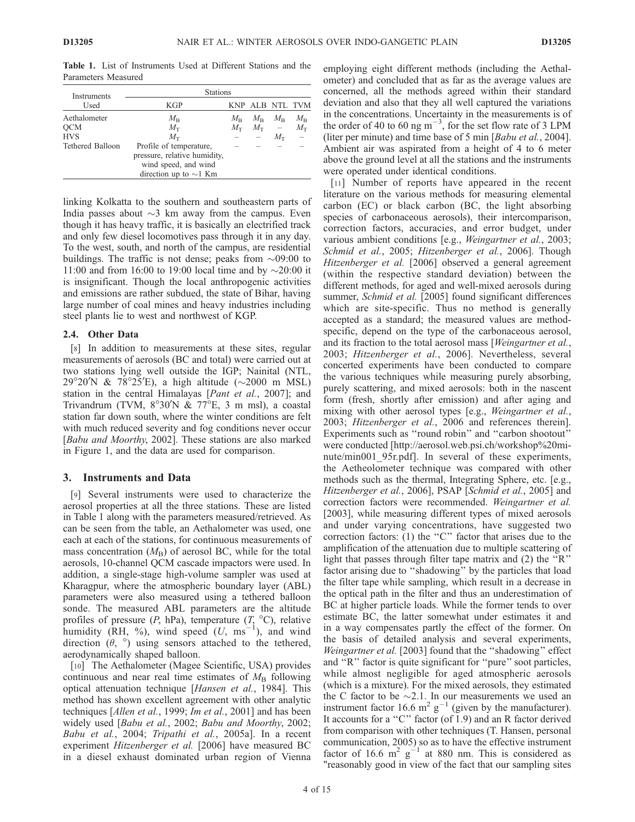Table 1. List of Instruments Used at Different Stations and the Parameters Measured

| <b>Instruments</b><br>Used | <b>Stations</b>                                                                                                |             |             |                          |                 |
|----------------------------|----------------------------------------------------------------------------------------------------------------|-------------|-------------|--------------------------|-----------------|
|                            | KGP                                                                                                            |             |             |                          | KNP ALB NTL TVM |
| Aethalometer               | $M_{\rm B}$                                                                                                    | $M_{\rm B}$ | $M_{\rm B}$ | $M_{\rm B}$              | $M_{\rm B}$     |
| <b>OCM</b>                 | $M_{\rm T}$                                                                                                    | $M_{\rm T}$ | $M_{\rm T}$ | $\overline{\phantom{0}}$ | $M_{\rm T}$     |
| <b>HVS</b>                 | $M_{\rm T}$                                                                                                    |             |             | $M_{\rm T}$              |                 |
| Tethered Balloon           | Profile of temperature,<br>pressure, relative humidity,<br>wind speed, and wind<br>direction up to $\sim$ 1 Km |             |             |                          |                 |

linking Kolkatta to the southern and southeastern parts of India passes about  $\sim$ 3 km away from the campus. Even though it has heavy traffic, it is basically an electrified track and only few diesel locomotives pass through it in any day. To the west, south, and north of the campus, are residential buildings. The traffic is not dense; peaks from  $\sim 09:00$  to 11:00 and from 16:00 to 19:00 local time and by  $\sim$ 20:00 it is insignificant. Though the local anthropogenic activities and emissions are rather subdued, the state of Bihar, having large number of coal mines and heavy industries including steel plants lie to west and northwest of KGP.

## 2.4. Other Data

[8] In addition to measurements at these sites, regular measurements of aerosols (BC and total) were carried out at two stations lying well outside the IGP; Nainital (NTL, 29°20′N & 78°25′E), a high altitude (~2000 m MSL) station in the central Himalayas [*Pant et al.*, 2007]; and Trivandrum (TVM,  $8^{\circ}30'N \& 77^{\circ}E$ , 3 m msl), a coastal station far down south, where the winter conditions are felt with much reduced severity and fog conditions never occur [Babu and Moorthy, 2002]. These stations are also marked in Figure 1, and the data are used for comparison.

## 3. Instruments and Data

[9] Several instruments were used to characterize the aerosol properties at all the three stations. These are listed in Table 1 along with the parameters measured/retrieved. As can be seen from the table, an Aethalometer was used, one each at each of the stations, for continuous measurements of mass concentration  $(M_B)$  of aerosol BC, while for the total aerosols, 10-channel QCM cascade impactors were used. In addition, a single-stage high-volume sampler was used at Kharagpur, where the atmospheric boundary layer (ABL) parameters were also measured using a tethered balloon sonde. The measured ABL parameters are the altitude profiles of pressure (P, hPa), temperature  $(T, {}^{\circ}C)$ , relative humidity  $(RH, %)$ , wind speed  $(U, ms^{-1})$ , and wind direction  $(\theta, \circ)$  using sensors attached to the tethered, aerodynamically shaped balloon.

[10] The Aethalometer (Magee Scientific, USA) provides continuous and near real time estimates of  $M_B$  following optical attenuation technique [Hansen et al., 1984]. This method has shown excellent agreement with other analytic techniques [Allen et al., 1999; Im et al., 2001] and has been widely used [*Babu et al.*, 2002; *Babu and Moorthy*, 2002; Babu et al., 2004; Tripathi et al., 2005a]. In a recent experiment Hitzenberger et al. [2006] have measured BC in a diesel exhaust dominated urban region of Vienna employing eight different methods (including the Aethalometer) and concluded that as far as the average values are concerned, all the methods agreed within their standard deviation and also that they all well captured the variations in the concentrations. Uncertainty in the measurements is of the order of 40 to 60 ng  $m^{-3}$ , for the set flow rate of 3 LPM (liter per minute) and time base of 5 min [Babu et al., 2004]. Ambient air was aspirated from a height of 4 to 6 meter above the ground level at all the stations and the instruments were operated under identical conditions.

[11] Number of reports have appeared in the recent literature on the various methods for measuring elemental carbon (EC) or black carbon (BC, the light absorbing species of carbonaceous aerosols), their intercomparison, correction factors, accuracies, and error budget, under various ambient conditions [e.g., Weingartner et al., 2003; Schmid et al., 2005; Hitzenberger et al., 2006]. Though Hitzenberger et al. [2006] observed a general agreement (within the respective standard deviation) between the different methods, for aged and well-mixed aerosols during summer, Schmid et al. [2005] found significant differences which are site-specific. Thus no method is generally accepted as a standard; the measured values are methodspecific, depend on the type of the carbonaceous aerosol, and its fraction to the total aerosol mass [Weingartner et al., 2003; Hitzenberger et al., 2006]. Nevertheless, several concerted experiments have been conducted to compare the various techniques while measuring purely absorbing, purely scattering, and mixed aerosols: both in the nascent form (fresh, shortly after emission) and after aging and mixing with other aerosol types [e.g., Weingartner et al., 2003; Hitzenberger et al., 2006 and references therein]. Experiments such as ''round robin'' and ''carbon shootout'' were conducted [http://aerosol.web.psi.ch/workshop%20minute/min001 95r.pdf]. In several of these experiments, the Aetheolometer technique was compared with other methods such as the thermal, Integrating Sphere, etc. [e.g., Hitzenberger et al., 2006], PSAP [Schmid et al., 2005] and correction factors were recommended. Weingartner et al. [2003], while measuring different types of mixed aerosols and under varying concentrations, have suggested two correction factors: (1) the ''C'' factor that arises due to the amplification of the attenuation due to multiple scattering of light that passes through filter tape matrix and (2) the ''R'' factor arising due to ''shadowing'' by the particles that load the filter tape while sampling, which result in a decrease in the optical path in the filter and thus an underestimation of BC at higher particle loads. While the former tends to over estimate BC, the latter somewhat under estimates it and in a way compensates partly the effect of the former. On the basis of detailed analysis and several experiments, Weingartner et al. [2003] found that the "shadowing" effect and ''R'' factor is quite significant for ''pure'' soot particles, while almost negligible for aged atmospheric aerosols (which is a mixture). For the mixed aerosols, they estimated the C factor to be  $\sim$ 2.1. In our measurements we used an instrument factor 16.6 m<sup>2</sup>  $g^{-1}$  (given by the manufacturer). It accounts for a ''C'' factor (of 1.9) and an R factor derived from comparison with other techniques (T. Hansen, personal communication, 2005) so as to have the effective instrument factor of 16.6  $\text{m}^2$  g<sup>-1</sup> at 880 nm. This is considered as "reasonably good in view of the fact that our sampling sites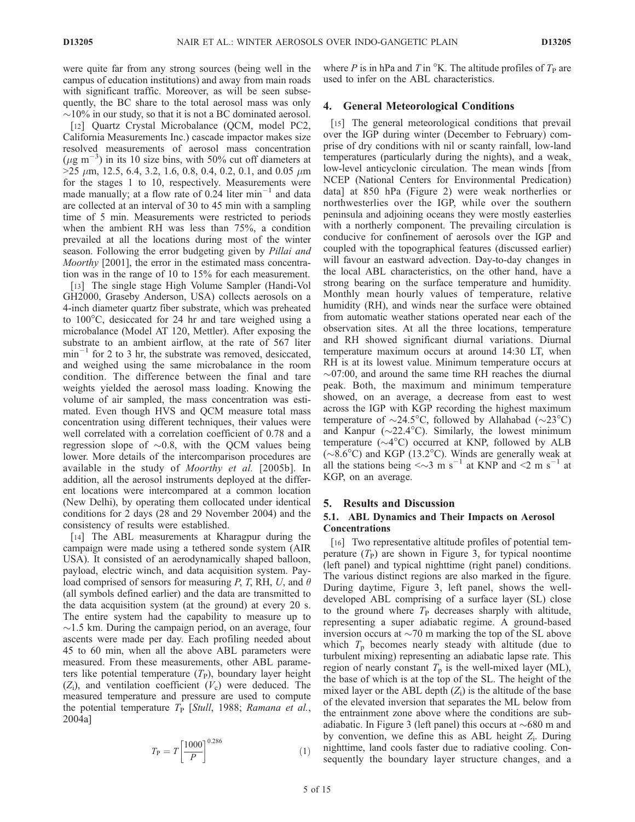were quite far from any strong sources (being well in the campus of education institutions) and away from main roads with significant traffic. Moreover, as will be seen subsequently, the BC share to the total aerosol mass was only  $\sim$ 10% in our study, so that it is not a BC dominated aerosol.

[12] Quartz Crystal Microbalance (QCM, model PC2, California Measurements Inc.) cascade impactor makes size resolved measurements of aerosol mass concentration ( $\mu$ g m<sup>-3</sup>) in its 10 size bins, with 50% cut off diameters at  $>25 \mu m$ , 12.5, 6.4, 3.2, 1.6, 0.8, 0.4, 0.2, 0.1, and 0.05  $\mu$ m for the stages 1 to 10, respectively. Measurements were made manually; at a flow rate of  $0.24$  liter min<sup>-1</sup> and data are collected at an interval of 30 to 45 min with a sampling time of 5 min. Measurements were restricted to periods when the ambient RH was less than 75%, a condition prevailed at all the locations during most of the winter season. Following the error budgeting given by *Pillai and* Moorthy [2001], the error in the estimated mass concentration was in the range of 10 to 15% for each measurement.

[13] The single stage High Volume Sampler (Handi-Vol GH2000, Graseby Anderson, USA) collects aerosols on a 4-inch diameter quartz fiber substrate, which was preheated to  $100^{\circ}$ C, desiccated for 24 hr and tare weighed using a microbalance (Model AT 120, Mettler). After exposing the substrate to an ambient airflow, at the rate of 567 liter  $min^{-1}$  for 2 to 3 hr, the substrate was removed, desiccated, and weighed using the same microbalance in the room condition. The difference between the final and tare weights yielded the aerosol mass loading. Knowing the volume of air sampled, the mass concentration was estimated. Even though HVS and QCM measure total mass concentration using different techniques, their values were well correlated with a correlation coefficient of 0.78 and a regression slope of  $\sim 0.8$ , with the QCM values being lower. More details of the intercomparison procedures are available in the study of Moorthy et al. [2005b]. In addition, all the aerosol instruments deployed at the different locations were intercompared at a common location (New Delhi), by operating them collocated under identical conditions for 2 days (28 and 29 November 2004) and the consistency of results were established.

[14] The ABL measurements at Kharagpur during the campaign were made using a tethered sonde system (AIR USA). It consisted of an aerodynamically shaped balloon, payload, electric winch, and data acquisition system. Payload comprised of sensors for measuring  $P$ ,  $T$ , RH,  $U$ , and  $\theta$ (all symbols defined earlier) and the data are transmitted to the data acquisition system (at the ground) at every 20 s. The entire system had the capability to measure up to  $\sim$ 1.5 km. During the campaign period, on an average, four ascents were made per day. Each profiling needed about 45 to 60 min, when all the above ABL parameters were measured. From these measurements, other ABL parameters like potential temperature  $(T<sub>P</sub>)$ , boundary layer height  $(Z<sub>i</sub>)$ , and ventilation coefficient  $(V<sub>c</sub>)$  were deduced. The measured temperature and pressure are used to compute the potential temperature  $T_P$  [Stull, 1988; Ramana et al., 2004a]

$$
T_{\rm P} = T \left[ \frac{1000}{P} \right]^{0.286}
$$
 (1)

where P is in hPa and T in  $\mathrm{K}$ . The altitude profiles of  $T_{\mathrm{P}}$  are used to infer on the ABL characteristics.

#### 4. General Meteorological Conditions

[15] The general meteorological conditions that prevail over the IGP during winter (December to February) comprise of dry conditions with nil or scanty rainfall, low-land temperatures (particularly during the nights), and a weak, low-level anticyclonic circulation. The mean winds [from NCEP (National Centers for Environmental Predication) data] at 850 hPa (Figure 2) were weak northerlies or northwesterlies over the IGP, while over the southern peninsula and adjoining oceans they were mostly easterlies with a northerly component. The prevailing circulation is conducive for confinement of aerosols over the IGP and coupled with the topographical features (discussed earlier) will favour an eastward advection. Day-to-day changes in the local ABL characteristics, on the other hand, have a strong bearing on the surface temperature and humidity. Monthly mean hourly values of temperature, relative humidity (RH), and winds near the surface were obtained from automatic weather stations operated near each of the observation sites. At all the three locations, temperature and RH showed significant diurnal variations. Diurnal temperature maximum occurs at around 14:30 LT, when RH is at its lowest value. Minimum temperature occurs at  $\sim 07:00$ , and around the same time RH reaches the diurnal peak. Both, the maximum and minimum temperature showed, on an average, a decrease from east to west across the IGP with KGP recording the highest maximum temperature of  $\sim$ 24.5°C, followed by Allahabad ( $\sim$ 23°C) and Kanpur ( $\sim$ 22.4°C). Similarly, the lowest minimum temperature  $(\sim4^{\circ}C)$  occurred at KNP, followed by ALB  $(\sim 8.6^{\circ}C)$  and KGP (13.2°C). Winds are generally weak at all the stations being  $\langle \sim 3 \text{ m s}^{-1}$  at KNP and  $\langle 2 \text{ m s}^{-1}$  at KGP, on an average.

#### 5. Results and Discussion

## 5.1. ABL Dynamics and Their Impacts on Aerosol Concentrations

[16] Two representative altitude profiles of potential temperature  $(T_P)$  are shown in Figure 3, for typical noontime (left panel) and typical nighttime (right panel) conditions. The various distinct regions are also marked in the figure. During daytime, Figure 3, left panel, shows the welldeveloped ABL comprising of a surface layer (SL) close to the ground where  $T<sub>P</sub>$  decreases sharply with altitude, representing a super adiabatic regime. A ground-based inversion occurs at  $\sim$ 70 m marking the top of the SL above which  $T_p$  becomes nearly steady with altitude (due to turbulent mixing) representing an adiabatic lapse rate. This region of nearly constant  $T_p$  is the well-mixed layer (ML), the base of which is at the top of the SL. The height of the mixed layer or the ABL depth  $(Z_i)$  is the altitude of the base of the elevated inversion that separates the ML below from the entrainment zone above where the conditions are subadiabatic. In Figure 3 (left panel) this occurs at  $\sim 680$  m and by convention, we define this as ABL height  $Z_i$ . During nighttime, land cools faster due to radiative cooling. Consequently the boundary layer structure changes, and a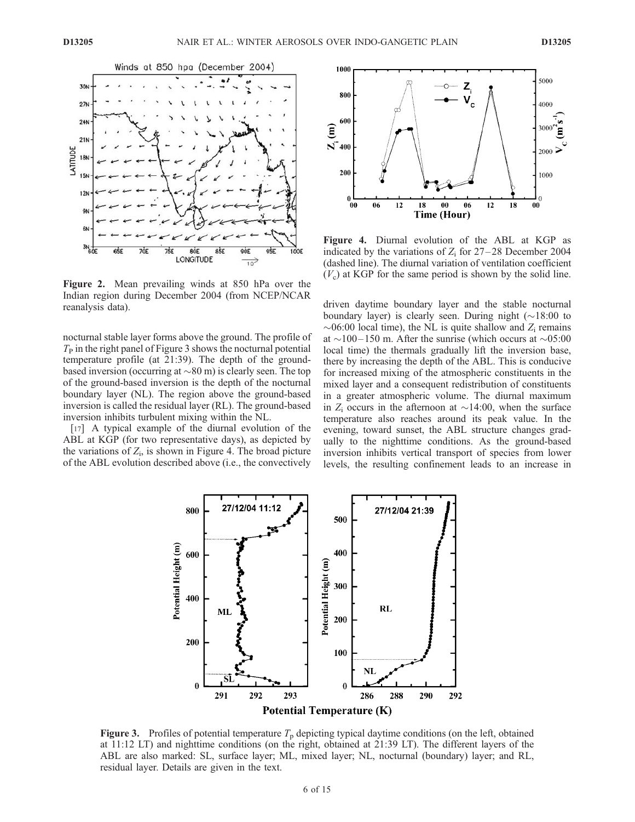

Figure 2. Mean prevailing winds at 850 hPa over the Indian region during December 2004 (from NCEP/NCAR reanalysis data).

nocturnal stable layer forms above the ground. The profile of  $T<sub>P</sub>$  in the right panel of Figure 3 shows the nocturnal potential temperature profile (at 21:39). The depth of the groundbased inversion (occurring at  $\sim 80$  m) is clearly seen. The top of the ground-based inversion is the depth of the nocturnal boundary layer (NL). The region above the ground-based inversion is called the residual layer (RL). The ground-based inversion inhibits turbulent mixing within the NL.

[17] A typical example of the diurnal evolution of the ABL at KGP (for two representative days), as depicted by the variations of  $Z_i$ , is shown in Figure 4. The broad picture of the ABL evolution described above (i.e., the convectively



Figure 4. Diurnal evolution of the ABL at KGP as indicated by the variations of  $Z_i$  for 27–28 December 2004 (dashed line). The diurnal variation of ventilation coefficient  $(V_c)$  at KGP for the same period is shown by the solid line.

driven daytime boundary layer and the stable nocturnal boundary layer) is clearly seen. During night  $(\sim 18:00$  to  $\sim 06:00$  local time), the NL is quite shallow and  $Z_i$  remains at  $\sim$ 100 – 150 m. After the sunrise (which occurs at  $\sim$ 05:00 local time) the thermals gradually lift the inversion base, there by increasing the depth of the ABL. This is conducive for increased mixing of the atmospheric constituents in the mixed layer and a consequent redistribution of constituents in a greater atmospheric volume. The diurnal maximum in  $Z_i$  occurs in the afternoon at  $\sim$ 14:00, when the surface temperature also reaches around its peak value. In the evening, toward sunset, the ABL structure changes gradually to the nighttime conditions. As the ground-based inversion inhibits vertical transport of species from lower levels, the resulting confinement leads to an increase in



**Figure 3.** Profiles of potential temperature  $T<sub>p</sub>$  depicting typical daytime conditions (on the left, obtained at 11:12 LT) and nighttime conditions (on the right, obtained at 21:39 LT). The different layers of the ABL are also marked: SL, surface layer; ML, mixed layer; NL, nocturnal (boundary) layer; and RL, residual layer. Details are given in the text.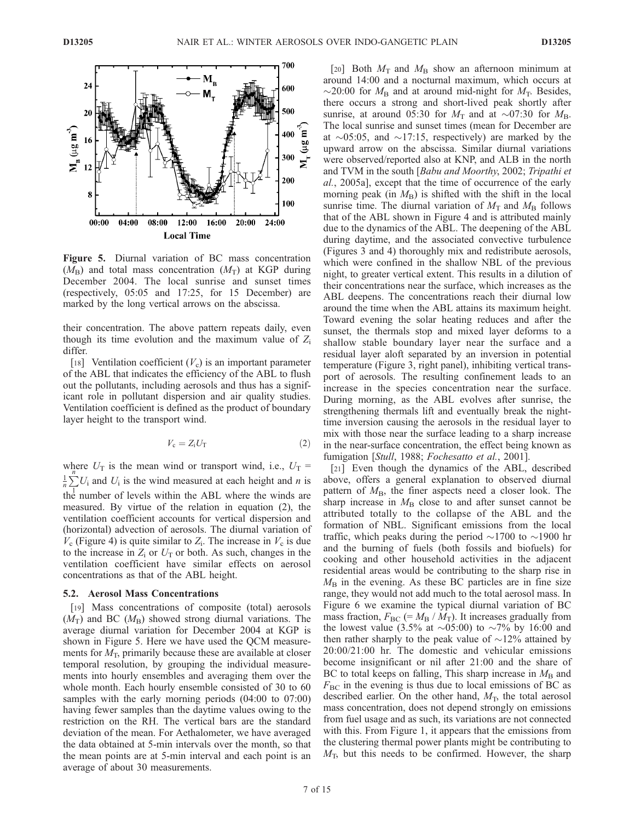

Figure 5. Diurnal variation of BC mass concentration  $(M_B)$  and total mass concentration  $(M_T)$  at KGP during December 2004. The local sunrise and sunset times (respectively, 05:05 and 17:25, for 15 December) are marked by the long vertical arrows on the abscissa.

their concentration. The above pattern repeats daily, even though its time evolution and the maximum value of  $Z_i$ differ.

[18] Ventilation coefficient  $(V_c)$  is an important parameter of the ABL that indicates the efficiency of the ABL to flush out the pollutants, including aerosols and thus has a significant role in pollutant dispersion and air quality studies. Ventilation coefficient is defined as the product of boundary layer height to the transport wind.

$$
V_{\rm c} = Z_{\rm i} U_{\rm T} \tag{2}
$$

where  $U_T$  is the mean wind or transport wind, i.e.,  $U_T$  =  $\frac{1}{n}$  $\sum U_i$  and  $U_i$  is the wind measured at each height and *n* is the number of levels within the ABL where the winds are measured. By virtue of the relation in equation (2), the ventilation coefficient accounts for vertical dispersion and (horizontal) advection of aerosols. The diurnal variation of  $V_c$  (Figure 4) is quite similar to  $Z_i$ . The increase in  $V_c$  is due to the increase in  $Z_i$  or  $U_T$  or both. As such, changes in the ventilation coefficient have similar effects on aerosol concentrations as that of the ABL height.

#### 5.2. Aerosol Mass Concentrations

[19] Mass concentrations of composite (total) aerosols  $(M_T)$  and BC  $(M_B)$  showed strong diurnal variations. The average diurnal variation for December 2004 at KGP is shown in Figure 5. Here we have used the QCM measurements for  $M<sub>T</sub>$ , primarily because these are available at closer temporal resolution, by grouping the individual measurements into hourly ensembles and averaging them over the whole month. Each hourly ensemble consisted of 30 to 60 samples with the early morning periods (04:00 to 07:00) having fewer samples than the daytime values owing to the restriction on the RH. The vertical bars are the standard deviation of the mean. For Aethalometer, we have averaged the data obtained at 5-min intervals over the month, so that the mean points are at 5-min interval and each point is an average of about 30 measurements.

[20] Both  $M_T$  and  $M_B$  show an afternoon minimum at around 14:00 and a nocturnal maximum, which occurs at  $\sim$ 20:00 for  $M_{\rm B}$  and at around mid-night for  $M_{\rm T}$ . Besides, there occurs a strong and short-lived peak shortly after sunrise, at around 05:30 for  $M_T$  and at  $\sim 07:30$  for  $M_B$ . The local sunrise and sunset times (mean for December are at  $\sim$ 05:05, and  $\sim$ 17:15, respectively) are marked by the upward arrow on the abscissa. Similar diurnal variations were observed/reported also at KNP, and ALB in the north and TVM in the south [Babu and Moorthy, 2002; Tripathi et al., 2005a], except that the time of occurrence of the early morning peak (in  $M_B$ ) is shifted with the shift in the local sunrise time. The diurnal variation of  $M_T$  and  $M_B$  follows that of the ABL shown in Figure 4 and is attributed mainly due to the dynamics of the ABL. The deepening of the ABL during daytime, and the associated convective turbulence (Figures 3 and 4) thoroughly mix and redistribute aerosols, which were confined in the shallow NBL of the previous night, to greater vertical extent. This results in a dilution of their concentrations near the surface, which increases as the ABL deepens. The concentrations reach their diurnal low around the time when the ABL attains its maximum height. Toward evening the solar heating reduces and after the sunset, the thermals stop and mixed layer deforms to a shallow stable boundary layer near the surface and a residual layer aloft separated by an inversion in potential temperature (Figure 3, right panel), inhibiting vertical transport of aerosols. The resulting confinement leads to an increase in the species concentration near the surface. During morning, as the ABL evolves after sunrise, the strengthening thermals lift and eventually break the nighttime inversion causing the aerosols in the residual layer to mix with those near the surface leading to a sharp increase in the near-surface concentration, the effect being known as fumigation [Stull, 1988; Fochesatto et al., 2001].

[21] Even though the dynamics of the ABL, described above, offers a general explanation to observed diurnal pattern of  $M_B$ , the finer aspects need a closer look. The sharp increase in  $M<sub>B</sub>$  close to and after sunset cannot be attributed totally to the collapse of the ABL and the formation of NBL. Significant emissions from the local traffic, which peaks during the period  $\sim$ 1700 to  $\sim$ 1900 hr and the burning of fuels (both fossils and biofuels) for cooking and other household activities in the adjacent residential areas would be contributing to the sharp rise in  $M<sub>B</sub>$  in the evening. As these BC particles are in fine size range, they would not add much to the total aerosol mass. In Figure 6 we examine the typical diurnal variation of BC mass fraction,  $F_{BC}$  (=  $M_B / M_T$ ). It increases gradually from the lowest value (3.5% at  $\sim$ 05:00) to  $\sim$ 7% by 16:00 and then rather sharply to the peak value of  $\sim$ 12% attained by 20:00/21:00 hr. The domestic and vehicular emissions become insignificant or nil after 21:00 and the share of BC to total keeps on falling, This sharp increase in  $M<sub>B</sub>$  and  $F_{BC}$  in the evening is thus due to local emissions of BC as described earlier. On the other hand,  $M<sub>T</sub>$ , the total aerosol mass concentration, does not depend strongly on emissions from fuel usage and as such, its variations are not connected with this. From Figure 1, it appears that the emissions from the clustering thermal power plants might be contributing to  $M<sub>T</sub>$ , but this needs to be confirmed. However, the sharp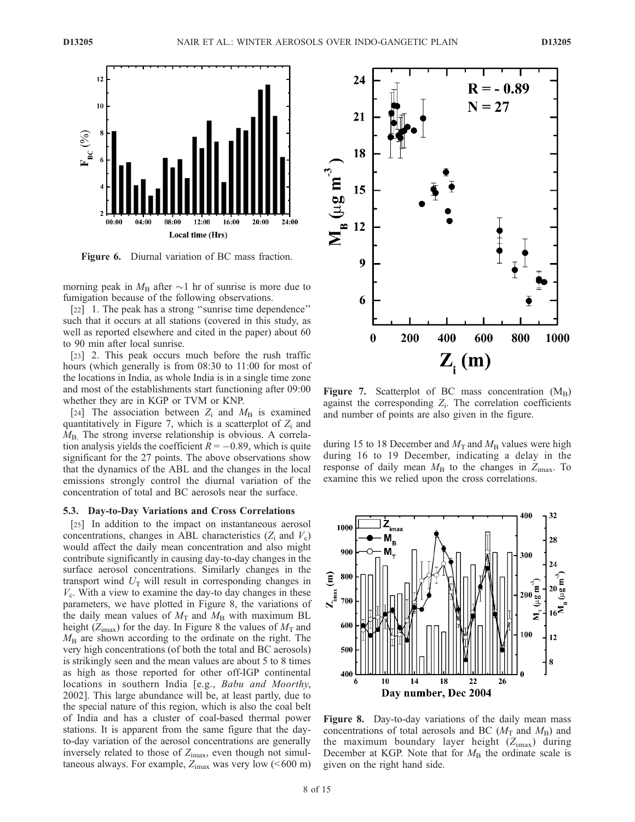

Figure 6. Diurnal variation of BC mass fraction.

morning peak in  $M_B$  after  $\sim$ 1 hr of sunrise is more due to fumigation because of the following observations.

[22] 1. The peak has a strong "sunrise time dependence" such that it occurs at all stations (covered in this study, as well as reported elsewhere and cited in the paper) about 60 to 90 min after local sunrise.

[23] 2. This peak occurs much before the rush traffic hours (which generally is from 08:30 to 11:00 for most of the locations in India, as whole India is in a single time zone and most of the establishments start functioning after 09:00 whether they are in KGP or TVM or KNP.

[24] The association between  $Z_i$  and  $M_B$  is examined quantitatively in Figure 7, which is a scatterplot of  $Z_i$  and  $M_{\rm B}$ . The strong inverse relationship is obvious. A correlation analysis yields the coefficient  $R = -0.89$ , which is quite significant for the 27 points. The above observations show that the dynamics of the ABL and the changes in the local emissions strongly control the diurnal variation of the concentration of total and BC aerosols near the surface.

#### 5.3. Day-to-Day Variations and Cross Correlations

[25] In addition to the impact on instantaneous aerosol concentrations, changes in ABL characteristics  $(Z_i$  and  $V_c)$ would affect the daily mean concentration and also might contribute significantly in causing day-to-day changes in the surface aerosol concentrations. Similarly changes in the transport wind  $U_T$  will result in corresponding changes in  $V_c$ . With a view to examine the day-to day changes in these parameters, we have plotted in Figure 8, the variations of the daily mean values of  $M_T$  and  $M_B$  with maximum BL height ( $Z_{\text{imax}}$ ) for the day. In Figure 8 the values of  $M_T$  and  $M<sub>B</sub>$  are shown according to the ordinate on the right. The very high concentrations (of both the total and BC aerosols) is strikingly seen and the mean values are about 5 to 8 times as high as those reported for other off-IGP continental locations in southern India [e.g., Babu and Moorthy, 2002]. This large abundance will be, at least partly, due to the special nature of this region, which is also the coal belt of India and has a cluster of coal-based thermal power stations. It is apparent from the same figure that the dayto-day variation of the aerosol concentrations are generally inversely related to those of  $Z_{\text{imax}}$ , even though not simultaneous always. For example,  $Z_{\text{imax}}$  was very low (<600 m)



**Figure 7.** Scatterplot of BC mass concentration  $(M_B)$ against the corresponding  $Z_i$ . The correlation coefficients and number of points are also given in the figure.

during 15 to 18 December and  $M_T$  and  $M_B$  values were high during 16 to 19 December, indicating a delay in the response of daily mean  $M_B$  to the changes in  $Z_{\text{imax}}$ . To examine this we relied upon the cross correlations.



Figure 8. Day-to-day variations of the daily mean mass concentrations of total aerosols and BC ( $M_T$  and  $M_B$ ) and the maximum boundary layer height  $(Z<sub>imax</sub>)$  during December at KGP. Note that for  $M<sub>B</sub>$  the ordinate scale is given on the right hand side.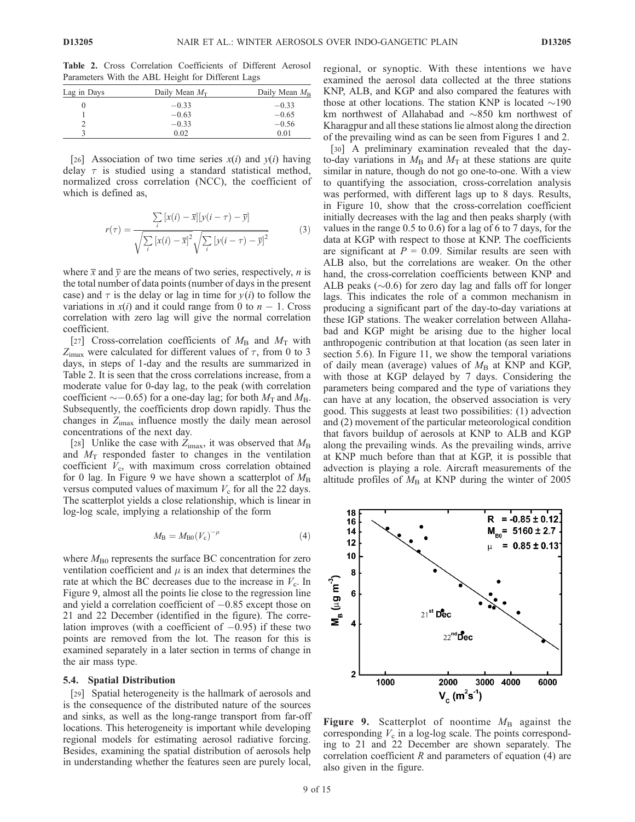Table 2. Cross Correlation Coefficients of Different Aerosol Parameters With the ABL Height for Different Lags

| Lag in Days | Daily Mean $M_T$ | Daily Mean $M_{\rm B}$ |
|-------------|------------------|------------------------|
| $\theta$    | $-0.33$          | $-0.33$                |
|             | $-0.63$          | $-0.65$                |
|             | $-0.33$          | $-0.56$                |
| 2           | 0.02             | 0.01                   |
|             |                  |                        |

[26] Association of two time series  $x(i)$  and  $y(i)$  having delay  $\tau$  is studied using a standard statistical method, normalized cross correlation (NCC), the coefficient of which is defined as,

$$
r(\tau) = \frac{\sum_{i} [x(i) - \overline{x}][y(i - \tau) - \overline{y}]}{\sqrt{\sum_{i} [x(i) - \overline{x}]^{2}} \sqrt{\sum_{i} [y(i - \tau) - \overline{y}]^{2}}}
$$
(3)

where  $\bar{x}$  and  $\bar{y}$  are the means of two series, respectively, *n* is the total number of data points (number of days in the present case) and  $\tau$  is the delay or lag in time for  $y(i)$  to follow the variations in  $x(i)$  and it could range from 0 to  $n - 1$ . Cross correlation with zero lag will give the normal correlation coefficient.

[27] Cross-correlation coefficients of  $M_\text{B}$  and  $M_\text{T}$  with  $Z_{\text{imax}}$  were calculated for different values of  $\tau$ , from 0 to 3 days, in steps of 1-day and the results are summarized in Table 2. It is seen that the cross correlations increase, from a moderate value for 0-day lag, to the peak (with correlation coefficient  $\sim$  -0.65) for a one-day lag; for both  $M_T$  and  $M_B$ . Subsequently, the coefficients drop down rapidly. Thus the changes in Zimax influence mostly the daily mean aerosol concentrations of the next day.

[28] Unlike the case with  $Z_{\text{imax}}$ , it was observed that  $M_{\text{B}}$ and  $M_T$  responded faster to changes in the ventilation coefficient  $V_c$ , with maximum cross correlation obtained for 0 lag. In Figure 9 we have shown a scatterplot of  $M_{\rm B}$ versus computed values of maximum  $V_c$  for all the 22 days. The scatterplot yields a close relationship, which is linear in log-log scale, implying a relationship of the form

$$
M_{\rm B} = M_{\rm B0} (V_{\rm c})^{-\mu} \tag{4}
$$

where  $M_{\text{B}0}$  represents the surface BC concentration for zero ventilation coefficient and  $\mu$  is an index that determines the rate at which the BC decreases due to the increase in  $V_c$ . In Figure 9, almost all the points lie close to the regression line and yield a correlation coefficient of  $-0.85$  except those on 21 and 22 December (identified in the figure). The correlation improves (with a coefficient of  $-0.95$ ) if these two points are removed from the lot. The reason for this is examined separately in a later section in terms of change in the air mass type.

#### 5.4. Spatial Distribution

[29] Spatial heterogeneity is the hallmark of aerosols and is the consequence of the distributed nature of the sources and sinks, as well as the long-range transport from far-off locations. This heterogeneity is important while developing regional models for estimating aerosol radiative forcing. Besides, examining the spatial distribution of aerosols help in understanding whether the features seen are purely local,

regional, or synoptic. With these intentions we have examined the aerosol data collected at the three stations KNP, ALB, and KGP and also compared the features with those at other locations. The station KNP is located  $\sim$ 190 km northwest of Allahabad and  $\sim 850$  km northwest of Kharagpur and all these stations lie almost along the direction of the prevailing wind as can be seen from Figures 1 and 2.

[30] A preliminary examination revealed that the dayto-day variations in  $M<sub>B</sub>$  and  $M<sub>T</sub>$  at these stations are quite similar in nature, though do not go one-to-one. With a view to quantifying the association, cross-correlation analysis was performed, with different lags up to 8 days. Results, in Figure 10, show that the cross-correlation coefficient initially decreases with the lag and then peaks sharply (with values in the range 0.5 to 0.6) for a lag of 6 to 7 days, for the data at KGP with respect to those at KNP. The coefficients are significant at  $P = 0.09$ . Similar results are seen with ALB also, but the correlations are weaker. On the other hand, the cross-correlation coefficients between KNP and ALB peaks  $(\sim 0.6)$  for zero day lag and falls off for longer lags. This indicates the role of a common mechanism in producing a significant part of the day-to-day variations at these IGP stations. The weaker correlation between Allahabad and KGP might be arising due to the higher local anthropogenic contribution at that location (as seen later in section 5.6). In Figure 11, we show the temporal variations of daily mean (average) values of  $M_B$  at KNP and KGP, with those at KGP delayed by 7 days. Considering the parameters being compared and the type of variations they can have at any location, the observed association is very good. This suggests at least two possibilities: (1) advection and (2) movement of the particular meteorological condition that favors buildup of aerosols at KNP to ALB and KGP along the prevailing winds. As the prevailing winds, arrive at KNP much before than that at KGP, it is possible that advection is playing a role. Aircraft measurements of the altitude profiles of  $M_B$  at KNP during the winter of 2005



Figure 9. Scatterplot of noontime  $M_{\rm B}$  against the corresponding  $V_c$  in a log-log scale. The points corresponding to 21 and 22 December are shown separately. The correlation coefficient  $R$  and parameters of equation (4) are also given in the figure.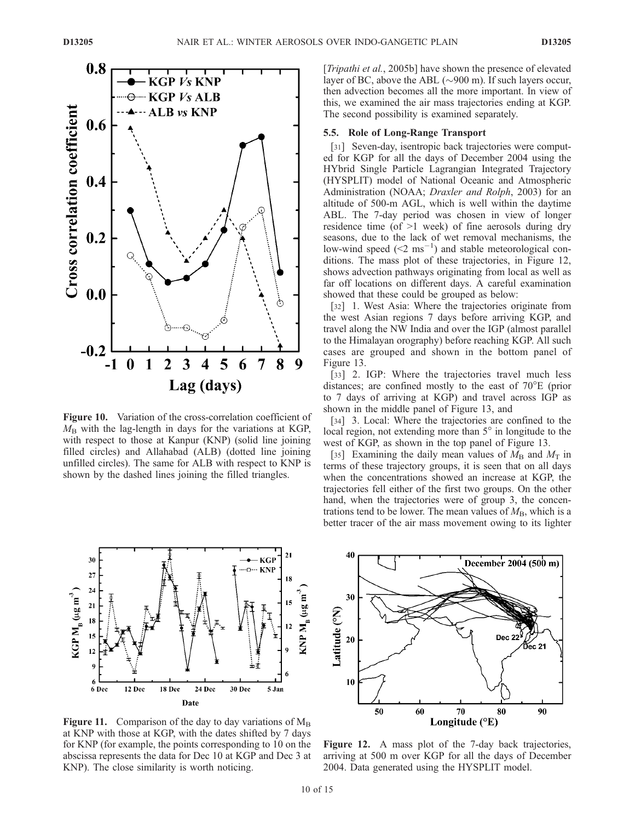

Figure 10. Variation of the cross-correlation coefficient of  $M_B$  with the lag-length in days for the variations at KGP, with respect to those at Kanpur (KNP) (solid line joining filled circles) and Allahabad (ALB) (dotted line joining unfilled circles). The same for ALB with respect to KNP is shown by the dashed lines joining the filled triangles.



**Figure 11.** Comparison of the day to day variations of  $M_B$ at KNP with those at KGP, with the dates shifted by 7 days for KNP (for example, the points corresponding to 10 on the abscissa represents the data for Dec 10 at KGP and Dec 3 at KNP). The close similarity is worth noticing.

[Tripathi et al., 2005b] have shown the presence of elevated layer of BC, above the ABL ( $\sim$ 900 m). If such layers occur, then advection becomes all the more important. In view of this, we examined the air mass trajectories ending at KGP. The second possibility is examined separately.

# 5.5. Role of Long-Range Transport

[31] Seven-day, isentropic back trajectories were computed for KGP for all the days of December 2004 using the HYbrid Single Particle Lagrangian Integrated Trajectory (HYSPLIT) model of National Oceanic and Atmospheric Administration (NOAA; Draxler and Rolph, 2003) for an altitude of 500-m AGL, which is well within the daytime ABL. The 7-day period was chosen in view of longer residence time (of >1 week) of fine aerosols during dry seasons, due to the lack of wet removal mechanisms, the low-wind speed  $(<2 \text{ ms}^{-1})$  and stable meteorological conditions. The mass plot of these trajectories, in Figure 12, shows advection pathways originating from local as well as far off locations on different days. A careful examination showed that these could be grouped as below:

[32] 1. West Asia: Where the trajectories originate from the west Asian regions 7 days before arriving KGP, and travel along the NW India and over the IGP (almost parallel to the Himalayan orography) before reaching KGP. All such cases are grouped and shown in the bottom panel of Figure 13.

[33] 2. IGP: Where the trajectories travel much less distances; are confined mostly to the east of  $70^{\circ}E$  (prior to 7 days of arriving at KGP) and travel across IGP as shown in the middle panel of Figure 13, and

[34] 3. Local: Where the trajectories are confined to the local region, not extending more than  $5^\circ$  in longitude to the west of KGP, as shown in the top panel of Figure 13.

[35] Examining the daily mean values of  $M_B$  and  $M_T$  in terms of these trajectory groups, it is seen that on all days when the concentrations showed an increase at KGP, the trajectories fell either of the first two groups. On the other hand, when the trajectories were of group 3, the concentrations tend to be lower. The mean values of  $M_{\rm B}$ , which is a better tracer of the air mass movement owing to its lighter



Figure 12. A mass plot of the 7-day back trajectories, arriving at 500 m over KGP for all the days of December 2004. Data generated using the HYSPLIT model.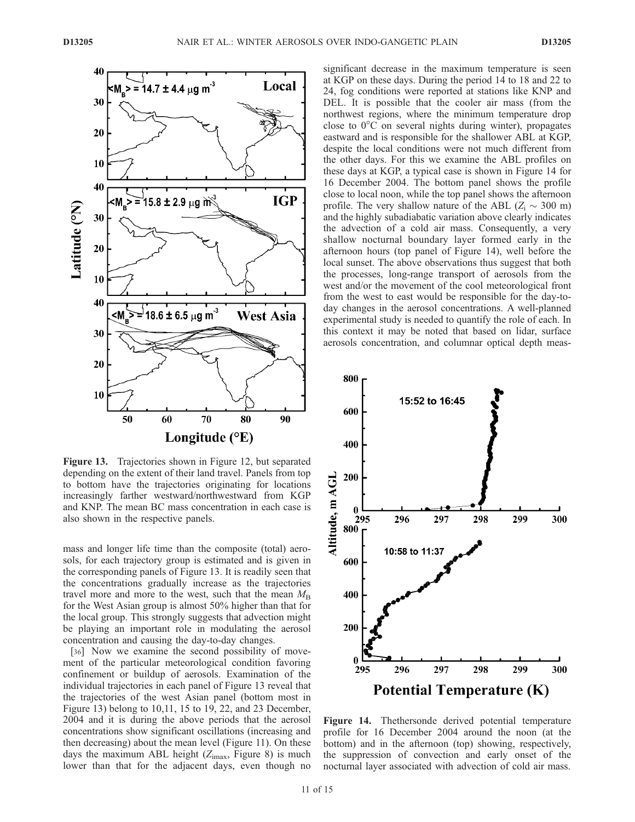

Figure 13. Trajectories shown in Figure 12, but separated depending on the extent of their land travel. Panels from top to bottom have the trajectories originating for locations increasingly farther westward/northwestward from KGP and KNP. The mean BC mass concentration in each case is also shown in the respective panels.

mass and longer life time than the composite (total) aerosols, for each trajectory group is estimated and is given in the corresponding panels of Figure 13. It is readily seen that the concentrations gradually increase as the trajectories travel more and more to the west, such that the mean  $M_{\rm B}$ for the West Asian group is almost 50% higher than that for the local group. This strongly suggests that advection might be playing an important role in modulating the aerosol concentration and causing the day-to-day changes.

[36] Now we examine the second possibility of movement of the particular meteorological condition favoring confinement or buildup of aerosols. Examination of the individual trajectories in each panel of Figure 13 reveal that the trajectories of the west Asian panel (bottom most in Figure 13) belong to 10,11, 15 to 19, 22, and 23 December, 2004 and it is during the above periods that the aerosol concentrations show significant oscillations (increasing and then decreasing) about the mean level (Figure 11). On these days the maximum ABL height  $(Z<sub>imax</sub>,$  Figure 8) is much lower than that for the adjacent days, even though no significant decrease in the maximum temperature is seen at KGP on these days. During the period 14 to 18 and 22 to 24, fog conditions were reported at stations like KNP and DEL. It is possible that the cooler air mass (from the northwest regions, where the minimum temperature drop close to  $0^{\circ}$ C on several nights during winter), propagates eastward and is responsible for the shallower ABL at KGP, despite the local conditions were not much different from the other days. For this we examine the ABL profiles on these days at KGP, a typical case is shown in Figure 14 for 16 December 2004. The bottom panel shows the profile close to local noon, while the top panel shows the afternoon profile. The very shallow nature of the ABL  $(Z_i \sim 300 \text{ m})$ and the highly subadiabatic variation above clearly indicates the advection of a cold air mass. Consequently, a very shallow nocturnal boundary layer formed early in the afternoon hours (top panel of Figure 14), well before the local sunset. The above observations thus suggest that both the processes, long-range transport of aerosols from the west and/or the movement of the cool meteorological front from the west to east would be responsible for the day-today changes in the aerosol concentrations. A well-planned experimental study is needed to quantify the role of each. In this context it may be noted that based on lidar, surface aerosols concentration, and columnar optical depth meas-



Figure 14. Thethersonde derived potential temperature profile for 16 December 2004 around the noon (at the bottom) and in the afternoon (top) showing, respectively, the suppression of convection and early onset of the nocturnal layer associated with advection of cold air mass.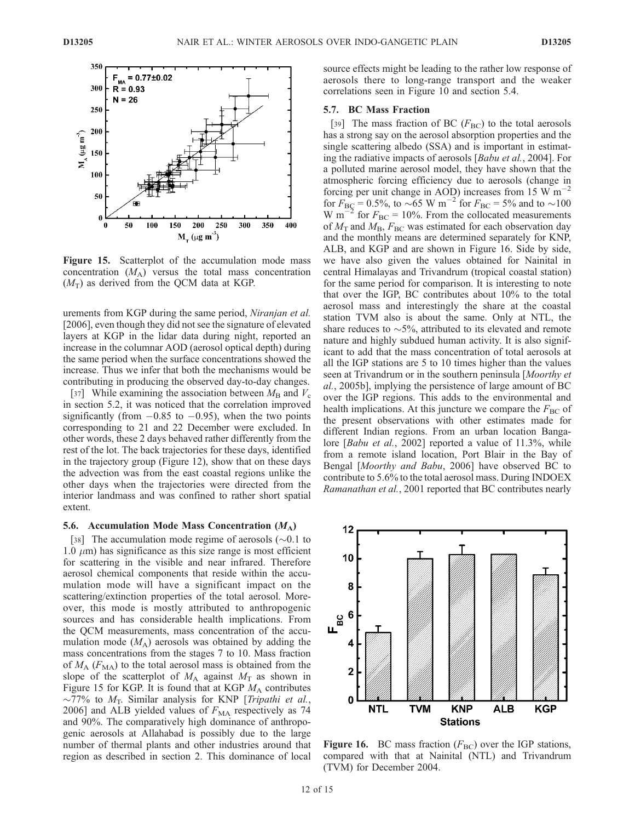

Figure 15. Scatterplot of the accumulation mode mass concentration  $(M_A)$  versus the total mass concentration  $(M_T)$  as derived from the QCM data at KGP.

urements from KGP during the same period, Niranjan et al. [2006], even though they did not see the signature of elevated layers at KGP in the lidar data during night, reported an increase in the columnar AOD (aerosol optical depth) during the same period when the surface concentrations showed the increase. Thus we infer that both the mechanisms would be contributing in producing the observed day-to-day changes.

[37] While examining the association between  $M_B$  and  $V_c$ in section 5.2, it was noticed that the correlation improved significantly (from  $-0.85$  to  $-0.95$ ), when the two points corresponding to 21 and 22 December were excluded. In other words, these 2 days behaved rather differently from the rest of the lot. The back trajectories for these days, identified in the trajectory group (Figure 12), show that on these days the advection was from the east coastal regions unlike the other days when the trajectories were directed from the interior landmass and was confined to rather short spatial extent.

#### 5.6. Accumulation Mode Mass Concentration  $(M_A)$

[38] The accumulation mode regime of aerosols  $(\sim 0.1$  to 1.0  $\mu$ m) has significance as this size range is most efficient for scattering in the visible and near infrared. Therefore aerosol chemical components that reside within the accumulation mode will have a significant impact on the scattering/extinction properties of the total aerosol. Moreover, this mode is mostly attributed to anthropogenic sources and has considerable health implications. From the QCM measurements, mass concentration of the accumulation mode  $(M_A)$  aerosols was obtained by adding the mass concentrations from the stages 7 to 10. Mass fraction of  $M_A$  ( $F_{\text{MA}}$ ) to the total aerosol mass is obtained from the slope of the scatterplot of  $M_A$  against  $M_T$  as shown in Figure 15 for KGP. It is found that at KGP  $M_A$  contributes  $\sim$ 77% to  $M_T$ . Similar analysis for KNP [Tripathi et al., 2006] and ALB yielded values of  $F_{\text{MA}}$  respectively as 74 and 90%. The comparatively high dominance of anthropogenic aerosols at Allahabad is possibly due to the large number of thermal plants and other industries around that region as described in section 2. This dominance of local

source effects might be leading to the rather low response of aerosols there to long-range transport and the weaker correlations seen in Figure 10 and section 5.4.

#### 5.7. BC Mass Fraction

[39] The mass fraction of BC  $(F_{BC})$  to the total aerosols has a strong say on the aerosol absorption properties and the single scattering albedo (SSA) and is important in estimating the radiative impacts of aerosols [Babu et al., 2004]. For a polluted marine aerosol model, they have shown that the atmospheric forcing efficiency due to aerosols (change in forcing per unit change in AOD) increases from  $15 \text{ W m}^{-2}$ for  $F_{\text{BC}} = 0.5\%$ , to  $\sim 65 \text{ W m}^{-2}$  for  $F_{\text{BC}} = 5\%$  and to  $\sim 100$ W m<sup>-2</sup> for  $F_{BC}$  = 10%. From the collocated measurements of  $M_T$  and  $M_B$ ,  $F_{BC}$  was estimated for each observation day and the monthly means are determined separately for KNP, ALB, and KGP and are shown in Figure 16. Side by side, we have also given the values obtained for Nainital in central Himalayas and Trivandrum (tropical coastal station) for the same period for comparison. It is interesting to note that over the IGP, BC contributes about 10% to the total aerosol mass and interestingly the share at the coastal station TVM also is about the same. Only at NTL, the share reduces to  $\sim$ 5%, attributed to its elevated and remote nature and highly subdued human activity. It is also significant to add that the mass concentration of total aerosols at all the IGP stations are 5 to 10 times higher than the values seen at Trivandrum or in the southern peninsula [Moorthy et al., 2005b], implying the persistence of large amount of BC over the IGP regions. This adds to the environmental and health implications. At this juncture we compare the  $F_{BC}$  of the present observations with other estimates made for different Indian regions. From an urban location Bangalore [*Babu et al.*, 2002] reported a value of 11.3%, while from a remote island location, Port Blair in the Bay of Bengal [Moorthy and Babu, 2006] have observed BC to contribute to 5.6% to the total aerosol mass. During INDOEX Ramanathan et al., 2001 reported that BC contributes nearly



**Figure 16.** BC mass fraction  $(F_{BC})$  over the IGP stations, compared with that at Nainital (NTL) and Trivandrum (TVM) for December 2004.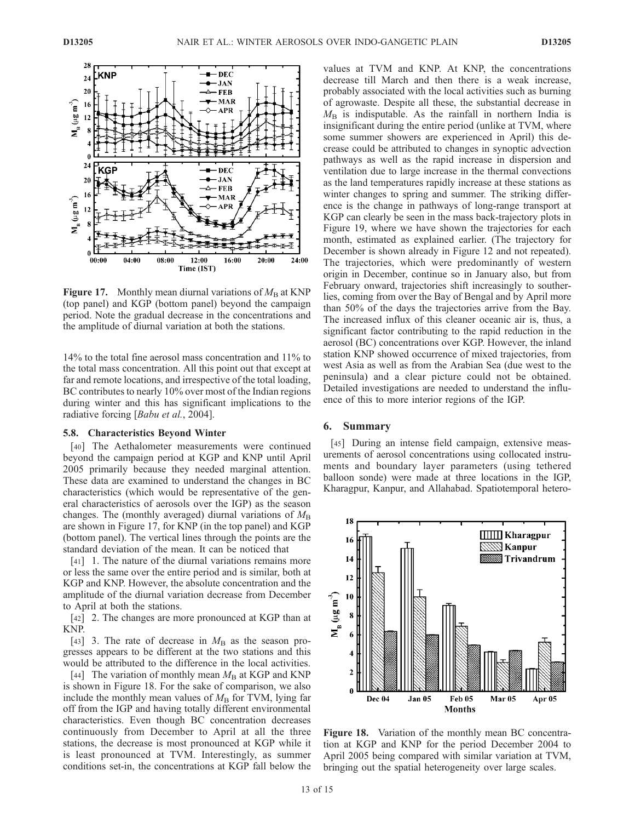

**Figure 17.** Monthly mean diurnal variations of  $M_B$  at KNP (top panel) and KGP (bottom panel) beyond the campaign period. Note the gradual decrease in the concentrations and the amplitude of diurnal variation at both the stations.

14% to the total fine aerosol mass concentration and 11% to the total mass concentration. All this point out that except at far and remote locations, and irrespective of the total loading, BC contributes to nearly 10% over most of the Indian regions during winter and this has significant implications to the radiative forcing [Babu et al., 2004].

#### 5.8. Characteristics Beyond Winter

[40] The Aethalometer measurements were continued beyond the campaign period at KGP and KNP until April 2005 primarily because they needed marginal attention. These data are examined to understand the changes in BC characteristics (which would be representative of the general characteristics of aerosols over the IGP) as the season changes. The (monthly averaged) diurnal variations of  $M_{\rm B}$ are shown in Figure 17, for KNP (in the top panel) and KGP (bottom panel). The vertical lines through the points are the standard deviation of the mean. It can be noticed that

[41] 1. The nature of the diurnal variations remains more or less the same over the entire period and is similar, both at KGP and KNP. However, the absolute concentration and the amplitude of the diurnal variation decrease from December to April at both the stations.

[42] 2. The changes are more pronounced at KGP than at KNP.

[43] 3. The rate of decrease in  $M_{\rm B}$  as the season progresses appears to be different at the two stations and this would be attributed to the difference in the local activities.

[44] The variation of monthly mean  $M_B$  at KGP and KNP is shown in Figure 18. For the sake of comparison, we also include the monthly mean values of  $M_{\rm B}$  for TVM, lying far off from the IGP and having totally different environmental characteristics. Even though BC concentration decreases continuously from December to April at all the three stations, the decrease is most pronounced at KGP while it is least pronounced at TVM. Interestingly, as summer conditions set-in, the concentrations at KGP fall below the values at TVM and KNP. At KNP, the concentrations decrease till March and then there is a weak increase, probably associated with the local activities such as burning of agrowaste. Despite all these, the substantial decrease in  $M<sub>B</sub>$  is indisputable. As the rainfall in northern India is insignificant during the entire period (unlike at TVM, where some summer showers are experienced in April) this decrease could be attributed to changes in synoptic advection pathways as well as the rapid increase in dispersion and ventilation due to large increase in the thermal convections as the land temperatures rapidly increase at these stations as winter changes to spring and summer. The striking difference is the change in pathways of long-range transport at KGP can clearly be seen in the mass back-trajectory plots in Figure 19, where we have shown the trajectories for each month, estimated as explained earlier. (The trajectory for December is shown already in Figure 12 and not repeated). The trajectories, which were predominantly of western origin in December, continue so in January also, but from February onward, trajectories shift increasingly to southerlies, coming from over the Bay of Bengal and by April more than 50% of the days the trajectories arrive from the Bay. The increased influx of this cleaner oceanic air is, thus, a significant factor contributing to the rapid reduction in the aerosol (BC) concentrations over KGP. However, the inland station KNP showed occurrence of mixed trajectories, from west Asia as well as from the Arabian Sea (due west to the peninsula) and a clear picture could not be obtained. Detailed investigations are needed to understand the influence of this to more interior regions of the IGP.

## 6. Summary

[45] During an intense field campaign, extensive measurements of aerosol concentrations using collocated instruments and boundary layer parameters (using tethered balloon sonde) were made at three locations in the IGP, Kharagpur, Kanpur, and Allahabad. Spatiotemporal hetero-



Figure 18. Variation of the monthly mean BC concentration at KGP and KNP for the period December 2004 to April 2005 being compared with similar variation at TVM, bringing out the spatial heterogeneity over large scales.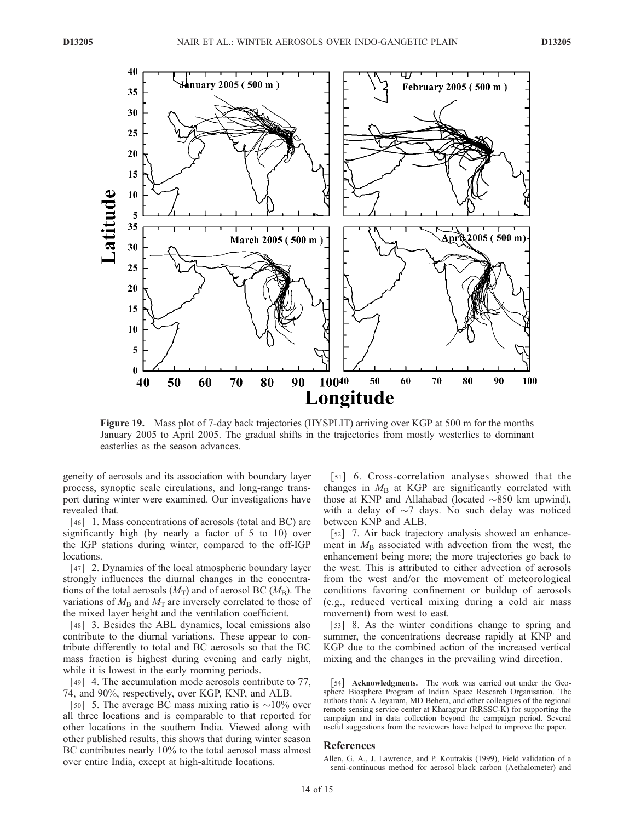

Figure 19. Mass plot of 7-day back trajectories (HYSPLIT) arriving over KGP at 500 m for the months January 2005 to April 2005. The gradual shifts in the trajectories from mostly westerlies to dominant easterlies as the season advances.

geneity of aerosols and its association with boundary layer process, synoptic scale circulations, and long-range transport during winter were examined. Our investigations have revealed that.

[46] 1. Mass concentrations of aerosols (total and BC) are significantly high (by nearly a factor of 5 to 10) over the IGP stations during winter, compared to the off-IGP locations.

[47] 2. Dynamics of the local atmospheric boundary layer strongly influences the diurnal changes in the concentrations of the total aerosols  $(M_T)$  and of aerosol BC  $(M_B)$ . The variations of  $M_B$  and  $M_T$  are inversely correlated to those of the mixed layer height and the ventilation coefficient.

[48] 3. Besides the ABL dynamics, local emissions also contribute to the diurnal variations. These appear to contribute differently to total and BC aerosols so that the BC mass fraction is highest during evening and early night, while it is lowest in the early morning periods.

[49] 4. The accumulation mode aerosols contribute to 77, 74, and 90%, respectively, over KGP, KNP, and ALB.

[50] 5. The average BC mass mixing ratio is  $\sim$ 10% over all three locations and is comparable to that reported for other locations in the southern India. Viewed along with other published results, this shows that during winter season BC contributes nearly 10% to the total aerosol mass almost over entire India, except at high-altitude locations.

[51] 6. Cross-correlation analyses showed that the changes in  $M<sub>B</sub>$  at KGP are significantly correlated with those at KNP and Allahabad (located  $\sim$ 850 km upwind), with a delay of  $\sim$ 7 days. No such delay was noticed between KNP and ALB.

[52] 7. Air back trajectory analysis showed an enhancement in  $M_B$  associated with advection from the west, the enhancement being more; the more trajectories go back to the west. This is attributed to either advection of aerosols from the west and/or the movement of meteorological conditions favoring confinement or buildup of aerosols (e.g., reduced vertical mixing during a cold air mass movement) from west to east.

[53] 8. As the winter conditions change to spring and summer, the concentrations decrease rapidly at KNP and KGP due to the combined action of the increased vertical mixing and the changes in the prevailing wind direction.

[54] **Acknowledgments.** The work was carried out under the Geosphere Biosphere Program of Indian Space Research Organisation. The authors thank A Jeyaram, MD Behera, and other colleagues of the regional remote sensing service center at Kharagpur (RRSSC-K) for supporting the campaign and in data collection beyond the campaign period. Several useful suggestions from the reviewers have helped to improve the paper.

## References

Allen, G. A., J. Lawrence, and P. Koutrakis (1999), Field validation of a semi-continuous method for aerosol black carbon (Aethalometer) and